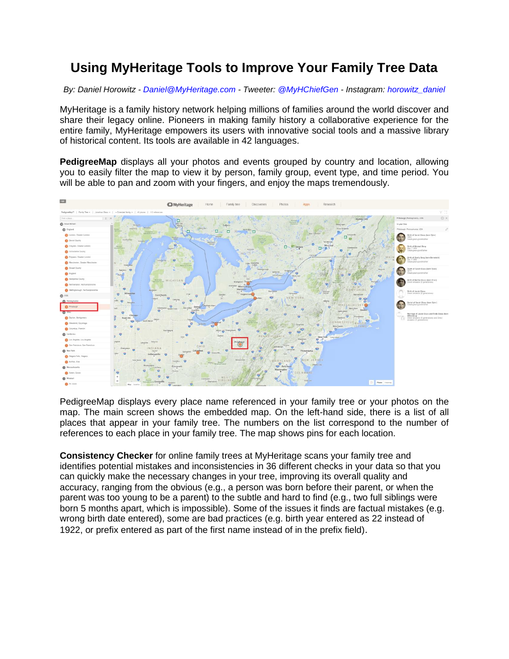## **Using MyHeritage Tools to Improve Your Family Tree Data**

*By: Daniel Horowitz - [Daniel@MyHeritage.com](mailto:Daniel@MyHeritage.com) - Tweeter: [@MyHChiefGen](https://twitter.com/MyHChiefGen) - Instagram: [horowitz\\_daniel](https://www.instagram.com/horowitz_daniel/)*

MyHeritage is a family history network helping millions of families around the world discover and share their legacy online. Pioneers in making family history a collaborative experience for the entire family, MyHeritage empowers its users with innovative social tools and a massive library of historical content. Its tools are available in 42 languages.

**PedigreeMap** displays all your photos and events grouped by country and location, allowing you to easily filter the map to view it by person, family group, event type, and time period. You will be able to pan and zoom with your fingers, and enjoy the maps tremendously.



PedigreeMap displays every place name referenced in your family tree or your photos on the map. The main screen shows the embedded map. On the left-hand side, there is a list of all places that appear in your family tree. The numbers on the list correspond to the number of references to each place in your family tree. The map shows pins for each location.

**Consistency Checker** for online family trees at MyHeritage scans your family tree and identifies potential mistakes and inconsistencies in 36 different checks in your data so that you can quickly make the necessary changes in your tree, improving its overall quality and accuracy, ranging from the obvious (e.g., a person was born before their parent, or when the parent was too young to be a parent) to the subtle and hard to find (e.g., two full siblings were born 5 months apart, which is impossible). Some of the issues it finds are factual mistakes (e.g. wrong birth date entered), some are bad practices (e.g. birth year entered as 22 instead of 1922, or prefix entered as part of the first name instead of in the prefix field).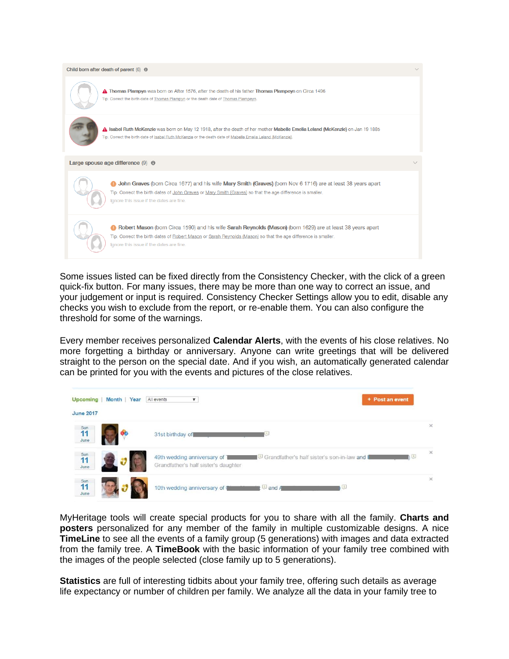

Some issues listed can be fixed directly from the Consistency Checker, with the click of a green quick-fix button. For many issues, there may be more than one way to correct an issue, and your judgement or input is required. Consistency Checker Settings allow you to edit, disable any checks you wish to exclude from the report, or re-enable them. You can also configure the threshold for some of the warnings.

Every member receives personalized **Calendar Alerts**, with the events of his close relatives. No more forgetting a birthday or anniversary. Anyone can write greetings that will be delivered straight to the person on the special date. And if you wish, an automatically generated calendar can be printed for you with the events and pictures of the close relatives.

| <b>Upcoming</b><br><b>June 2017</b> | Month Year | All events<br>▼                                                     | + Post an event                                    |          |
|-------------------------------------|------------|---------------------------------------------------------------------|----------------------------------------------------|----------|
| $\frac{Sum}{11}$<br>June            |            | 31st birthday of                                                    | U                                                  | $\times$ |
| $\frac{Sum}{11}$<br>June            |            | 49th wedding anniversary of<br>Grandfather's half sister's daughter | ١U<br>Grandfather's half sister's son-in-law and I | $\times$ |
| Sun<br>11<br>June                   |            | 10th wedding anniversary of                                         | $\Box$ and A<br>Q.                                 | $\times$ |

MyHeritage tools will create special products for you to share with all the family. **Charts and posters** personalized for any member of the family in multiple customizable designs. A nice **TimeLine** to see all the events of a family group (5 generations) with images and data extracted from the family tree. A **TimeBook** with the basic information of your family tree combined with the images of the people selected (close family up to 5 generations).

**Statistics** are full of interesting tidbits about your family tree, offering such details as average life expectancy or number of children per family. We analyze all the data in your family tree to